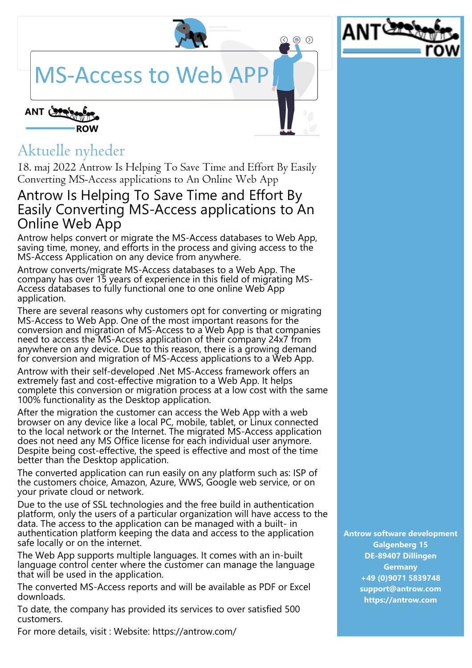## **MS-Access to Web AP**



 $\odot$ 



## Aktuelle nyheder

18. maj 2022 Antrow Is Helping To Save Time and Effort By Easily Converting MS-Access applications to An Online Web App

## Antrow Is Helping To Save Time and Effort By Easily Converting MS-Access applications to An Online Web App

Antrow helps convert or migrate the MS-Access databases to Web App, saving time, money, and efforts in the process and giving access to the MS-Access Application on any device from anywhere.

Antrow converts/migrate MS-Access databases to a Web App. The company has over 15 years of experience in this field of migrating MS-Access databases to fully functional one to one online Web App application.

There are several reasons why customers opt for converting or migrating MS-Access to Web App. One of the most important reasons for the conversion and migration of MS-Access to a Web App is that companies need to access the MS-Access application of their company 24x7 from anywhere on any device. Due to this reason, there is a growing demand for conversion and migration of MS-Access applications to a Web App.

Antrow with their self-developed .Net MS-Access framework offers an extremely fast and cost-effective migration to a Web App. It helps complete this conversion or migration process at a low cost with the same 100% functionality as the Desktop application.

After the migration the customer can access the Web App with a web browser on any device like a local PC, mobile, tablet, or Linux connected to the local network or the Internet. The migrated MS-Access application does not need any MS Office license for each individual user anymore. Despite being cost-effective, the speed is effective and most of the time better than the Desktop application.

The converted application can run easily on any platform such as: ISP of the customers choice, Amazon, Azure, WWS, Google web service, or on your private cloud or network.

Due to the use of SSL technologies and the free build in authentication platform, only the users of a particular organization will have access to the data. The access to the application can be managed with a built- in authentication platform keeping the data and access to the application safe locally or on the internet.

The Web App supports multiple languages. It comes with an in-built language control center where the customer can manage the language that will be used in the application.

The converted MS-Access reports and will be available as PDF or Excel downloads.

To date, the company has provided its services to over satisfied 500 customers.

For more details, visit : Website: https://antrow.com/

**Antrow software development Galgenberg 15 DE-89407 Dillingen Germany +49 (0)9071 5839748 support@antrow.com https://antrow.com**